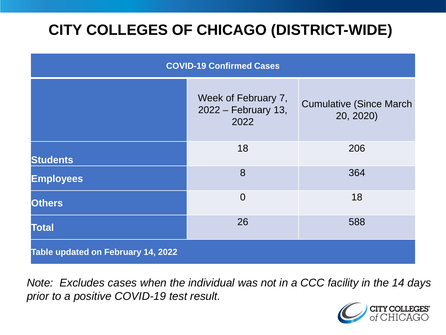# **CITY COLLEGES OF CHICAGO (DISTRICT-WIDE)**

| <b>COVID-19 Confirmed Cases</b>    |                                                    |                                              |
|------------------------------------|----------------------------------------------------|----------------------------------------------|
|                                    | Week of February 7,<br>2022 – February 13,<br>2022 | <b>Cumulative (Since March)</b><br>20, 2020) |
| <b>Students</b>                    | 18                                                 | 206                                          |
| <b>Employees</b>                   | 8                                                  | 364                                          |
| <b>Others</b>                      | $\overline{0}$                                     | 18                                           |
| <b>Total</b>                       | 26                                                 | 588                                          |
| Table updated on February 14, 2022 |                                                    |                                              |

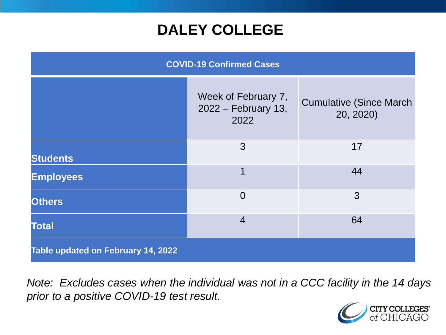## **DALEY COLLEGE**

| <b>COVID-19 Confirmed Cases</b>    |                                                    |                                              |
|------------------------------------|----------------------------------------------------|----------------------------------------------|
|                                    | Week of February 7,<br>2022 – February 13,<br>2022 | <b>Cumulative (Since March)</b><br>20, 2020) |
| <b>Students</b>                    | 3                                                  | 17                                           |
| <b>Employees</b>                   | 1                                                  | 44                                           |
| <b>Others</b>                      | $\overline{0}$                                     | 3                                            |
| <b>Total</b>                       | $\overline{4}$                                     | 64                                           |
| Table updated on February 14, 2022 |                                                    |                                              |

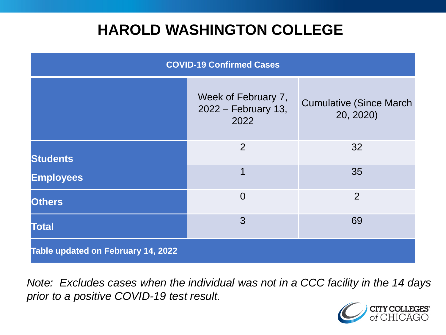## **HAROLD WASHINGTON COLLEGE**

| <b>COVID-19 Confirmed Cases</b>    |                                                    |                                              |
|------------------------------------|----------------------------------------------------|----------------------------------------------|
|                                    | Week of February 7,<br>2022 – February 13,<br>2022 | <b>Cumulative (Since March)</b><br>20, 2020) |
| <b>Students</b>                    | 2                                                  | 32                                           |
| <b>Employees</b>                   | $\overline{1}$                                     | 35                                           |
| <b>Others</b>                      | $\overline{0}$                                     | 2                                            |
| <b>Total</b>                       | 3                                                  | 69                                           |
| Table updated on February 14, 2022 |                                                    |                                              |

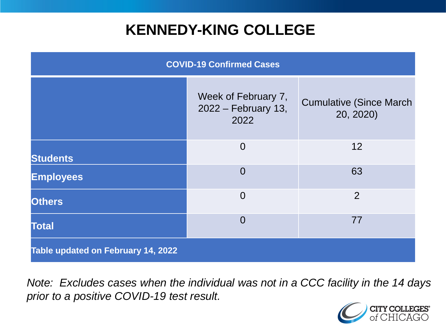## **KENNEDY-KING COLLEGE**

| <b>COVID-19 Confirmed Cases</b>    |                                                    |                                              |
|------------------------------------|----------------------------------------------------|----------------------------------------------|
|                                    | Week of February 7,<br>2022 – February 13,<br>2022 | <b>Cumulative (Since March)</b><br>20, 2020) |
| <b>Students</b>                    | $\overline{0}$                                     | 12                                           |
| <b>Employees</b>                   | $\overline{0}$                                     | 63                                           |
| <b>Others</b>                      | $\overline{0}$                                     | 2                                            |
| <b>Total</b>                       | $\overline{0}$                                     | 77                                           |
| Table updated on February 14, 2022 |                                                    |                                              |

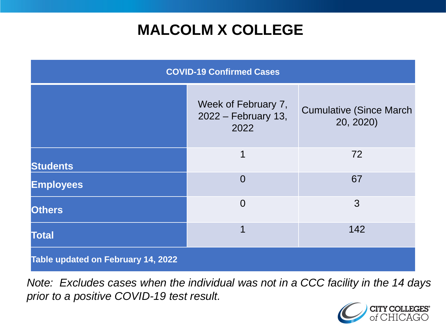# **MALCOLM X COLLEGE**

| <b>COVID-19 Confirmed Cases</b>    |                                                    |                                              |
|------------------------------------|----------------------------------------------------|----------------------------------------------|
|                                    | Week of February 7,<br>2022 – February 13,<br>2022 | <b>Cumulative (Since March)</b><br>20, 2020) |
| <b>Students</b>                    | 1                                                  | 72                                           |
| <b>Employees</b>                   | $\Omega$                                           | 67                                           |
| <b>Others</b>                      | $\Omega$                                           | 3                                            |
| <b>Total</b>                       | 1                                                  | 142                                          |
| Table updated on February 14, 2022 |                                                    |                                              |

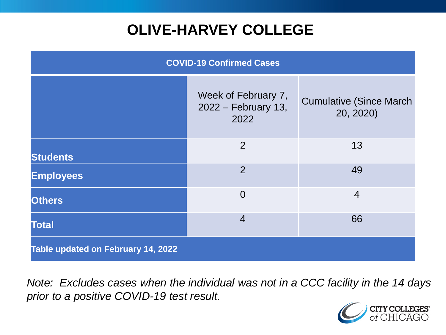# **OLIVE-HARVEY COLLEGE**

| <b>COVID-19 Confirmed Cases</b>    |                                                    |                                              |
|------------------------------------|----------------------------------------------------|----------------------------------------------|
|                                    | Week of February 7,<br>2022 – February 13,<br>2022 | <b>Cumulative (Since March)</b><br>20, 2020) |
| <b>Students</b>                    | 2                                                  | 13                                           |
| <b>Employees</b>                   | 2                                                  | 49                                           |
| <b>Others</b>                      | $\overline{0}$                                     | $\overline{4}$                               |
| <b>Total</b>                       | $\overline{4}$                                     | 66                                           |
| Table updated on February 14, 2022 |                                                    |                                              |

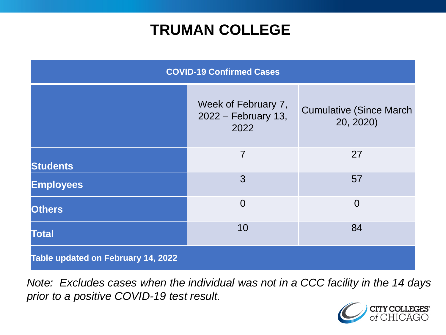## **TRUMAN COLLEGE**

| <b>COVID-19 Confirmed Cases</b>    |                                                    |                                              |
|------------------------------------|----------------------------------------------------|----------------------------------------------|
|                                    | Week of February 7,<br>2022 – February 13,<br>2022 | <b>Cumulative (Since March)</b><br>20, 2020) |
| <b>Students</b>                    | $\overline{7}$                                     | 27                                           |
| <b>Employees</b>                   | 3                                                  | 57                                           |
| <b>Others</b>                      | $\overline{0}$                                     | $\overline{0}$                               |
| <b>Total</b>                       | 10                                                 | 84                                           |
| Table updated on February 14, 2022 |                                                    |                                              |

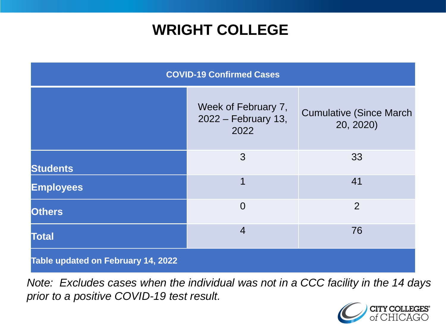## **WRIGHT COLLEGE**

| <b>COVID-19 Confirmed Cases</b>    |                                                    |                                              |
|------------------------------------|----------------------------------------------------|----------------------------------------------|
|                                    | Week of February 7,<br>2022 – February 13,<br>2022 | <b>Cumulative (Since March)</b><br>20, 2020) |
| <b>Students</b>                    | 3                                                  | 33                                           |
| <b>Employees</b>                   | 1                                                  | 41                                           |
| <b>Others</b>                      | $\overline{0}$                                     | $\overline{2}$                               |
| <b>Total</b>                       | $\overline{4}$                                     | 76                                           |
| Table updated on February 14, 2022 |                                                    |                                              |

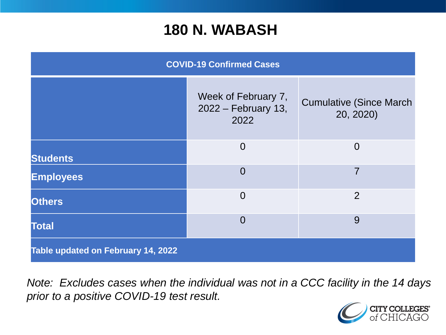#### **180 N. WABASH**

| <b>COVID-19 Confirmed Cases</b>    |                                                    |                                              |
|------------------------------------|----------------------------------------------------|----------------------------------------------|
|                                    | Week of February 7,<br>2022 – February 13,<br>2022 | <b>Cumulative (Since March)</b><br>20, 2020) |
| <b>Students</b>                    | $\overline{0}$                                     | $\overline{0}$                               |
| <b>Employees</b>                   | $\overline{0}$                                     | 7                                            |
| <b>Others</b>                      | $\overline{0}$                                     | 2                                            |
| <b>Total</b>                       | $\Omega$                                           | 9                                            |
| Table updated on February 14, 2022 |                                                    |                                              |